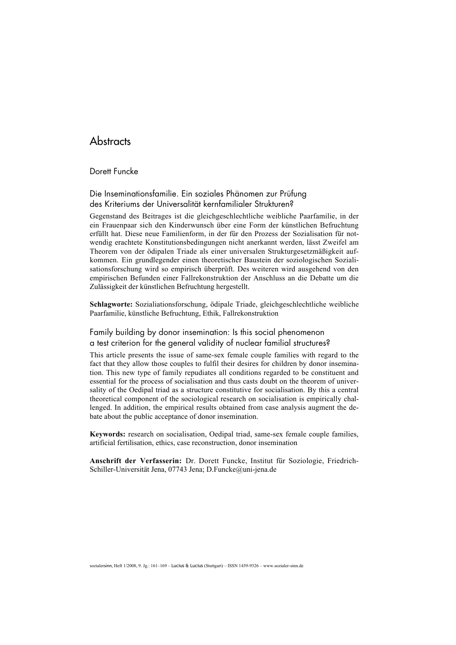## **Abstracts**

#### Dorett Funcke

## Die Inseminationsfamilie. Ein soziales Phänomen zur Prüfung des Kriteriums der Universalität kernfamilialer Strukturen?

Gegenstand des Beitrages ist die gleichgeschlechtliche weibliche Paarfamilie, in der ein Frauenpaar sich den Kinderwunsch über eine Form der künstlichen Befruchtung erfüllt hat. Diese neue Familienform, in der für den Prozess der Sozialisation für notwendig erachtete Konstitutionsbedingungen nicht anerkannt werden, lässt Zweifel am Theorem von der ödipalen Triade als einer universalen Strukturgesetzmäßigkeit aufkommen. Ein grundlegender einen theoretischer Baustein der soziologischen Sozialisationsforschung wird so empirisch überprüft. Des weiteren wird ausgehend von den empirischen Befunden einer Fallrekonstruktion der Anschluss an die Debatte um die Zulässigkeit der künstlichen Befruchtung hergestellt.

Schlagworte: Sozialiationsforschung, ödipale Triade, gleichgeschlechtliche weibliche Paarfamilie, künstliche Befruchtung, Ethik, Fallrekonstruktion

## Family building by donor insemination: Is this social phenomenon a test criterion for the general validity of nuclear familial structures?

This article presents the issue of same-sex female couple families with regard to the fact that they allow those couples to fulfil their desires for children by donor insemination. This new type of family repudiates all conditions regarded to be constituent and essential for the process of socialisation and thus casts doubt on the theorem of universality of the Oedipal triad as a structure constitutive for socialisation. By this a central theoretical component of the sociological research on socialisation is empirically challenged. In addition, the empirical results obtained from case analysis augment the debate about the public acceptance of donor insemination.

Keywords: research on socialisation, Oedipal triad, same-sex female couple families, artificial fertilisation, ethics, case reconstruction, donor insemination

Anschrift der Verfasserin: Dr. Dorett Funcke, Institut für Soziologie, Friedrich-Schiller-Universität Jena, 07743 Jena; D.Funcke@uni-jena.de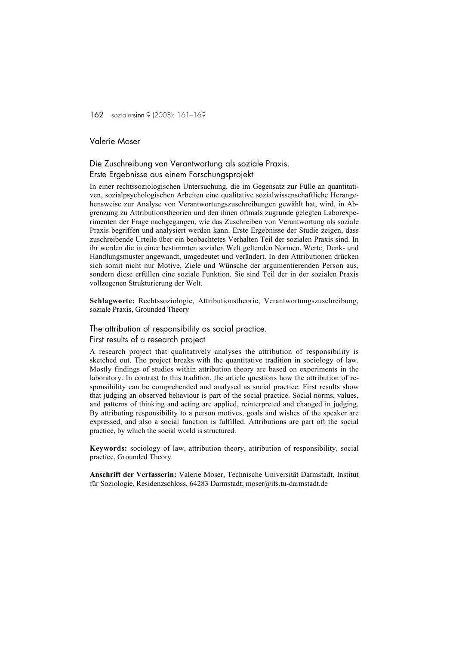## Valerie Moser

# Die Zuschreibung von Verantwortung als soziale Praxis.

## Erste Ergebnisse aus einem Forschungsprojekt

In einer rechtssoziologischen Untersuchung, die im Gegensatz zur Fülle an quantitativen, sozialpsychologischen Arbeiten eine qualitative sozialwissenschaftliche Herangehensweise zur Analyse von Verantwortungszuschreibungen gewählt hat, wird, in Abgrenzung zu Attributionstheorien und den ihnen oftmals zugrunde gelegten Laborexperimenten der Frage nachgegangen, wie das Zuschreiben von Verantwortung als soziale Praxis begriffen und analysiert werden kann. Erste Ergebnisse der Studie zeigen, dass zuschreibende Urteile über ein beobachtetes Verhalten Teil der sozialen Praxis sind. In ihr werden die in einer bestimmten sozialen Welt geltenden Normen, Werte, Denk- und Handlungsmuster angewandt, umgedeutet und verändert. In den Attributionen drücken sich somit nicht nur Motive, Ziele und Wünsche der argumentierenden Person aus, sondern diese erfüllen eine soziale Funktion. Sie sind Teil der in der sozialen Praxis vollzogenen Strukturierung der Welt.

Schlagworte: Rechtssoziologie, Attributionstheorie, Verantwortungszuschreibung, soziale Praxis, Grounded Theory

#### The attribution of responsibility as social practice.

#### First results of a research project

A research project that qualitatively analyses the attribution of responsibility is sketched out. The project breaks with the quantitative tradition in sociology of law. Mostly findings of studies within attribution theory are based on experiments in the laboratory. In contrast to this tradition, the article questions how the attribution of responsibility can be comprehended and analysed as social practice. First results show that judging an observed behaviour is part of the social practice. Social norms, values, and patterns of thinking and acting are applied, reinterpreted and changed in judging. By attributing responsibility to a person motives, goals and wishes of the speaker are expressed, and also a social function is fulfilled. Attributions are part oft the social practice, by which the social world is structured.

Keywords: sociology of law, attribution theory, attribution of responsibility, social practice, Grounded Theory

Anschrift der Verfasserin: Valerie Moser, Technische Universität Darmstadt, Institut für Soziologie, Residenzschloss, 64283 Darmstadt; moser@ifs.tu-darmstadt.de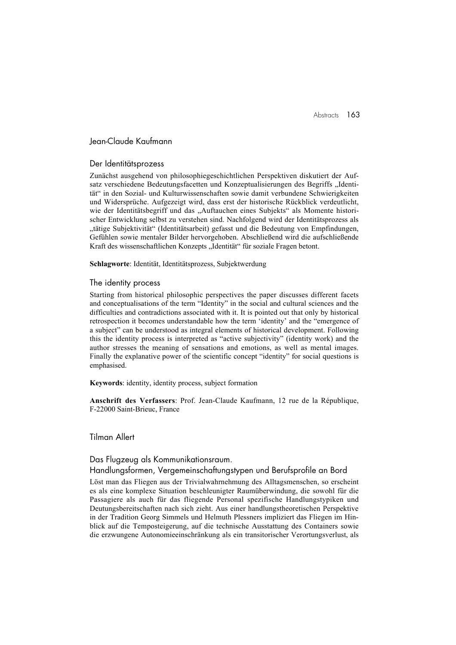## Jean-Claude Kaufmann

#### Der Identitätsprozess

Zunächst ausgehend von philosophiegeschichtlichen Perspektiven diskutiert der Aufsatz verschiedene Bedeutungsfacetten und Konzeptualisierungen des Begriffs "Identität" in den Sozial- und Kulturwissenschaften sowie damit verbundene Schwierigkeiten und Widersprüche. Aufgezeigt wird, dass erst der historische Rückblick verdeutlicht, wie der Identitätsbegriff und das "Auftauchen eines Subjekts" als Momente historischer Entwicklung selbst zu verstehen sind. Nachfolgend wird der Identitätsprozess als "tätige Subjektivität" (Identitätsarbeit) gefasst und die Bedeutung von Empfindungen, Gefühlen sowie mentaler Bilder hervorgehoben. Abschließend wird die aufschließende Kraft des wissenschaftlichen Konzepts "Identität" für soziale Fragen betont.

Schlagworte: Identität, Identitätsprozess, Subjektwerdung

#### The identity process

Starting from historical philosophic perspectives the paper discusses different facets and conceptualisations of the term "Identity" in the social and cultural sciences and the difficulties and contradictions associated with it. It is pointed out that only by historical retrospection it becomes understandable how the term 'identity' and the "emergence of a subject" can be understood as integral elements of historical development. Following this the identity process is interpreted as "active subjectivity" (identity work) and the author stresses the meaning of sensations and emotions, as well as mental images. Finally the explanative power of the scientific concept "identity" for social questions is emphasised.

Keywords: identity, identity process, subject formation

Anschrift des Verfassers: Prof. Jean-Claude Kaufmann, 12 rue de la République, F-22000 Saint-Brieuc, France

#### Tilman Allert

#### Das Flugzeug als Kommunikationsraum.

#### Handlungsformen, Vergemeinschaftungstypen und Berufsprofile an Bord

Löst man das Fliegen aus der Trivialwahrnehmung des Alltagsmenschen, so erscheint es als eine komplexe Situation beschleunigter Raumüberwindung, die sowohl für die Passagiere als auch für das fliegende Personal spezifische Handlungstypiken und Deutungsbereitschaften nach sich zieht. Aus einer handlungstheoretischen Perspektive in der Tradition Georg Simmels und Helmuth Plessners impliziert das Fliegen im Hinblick auf die Temposteigerung, auf die technische Ausstattung des Containers sowie die erzwungene Autonomieeinschränkung als ein transitorischer Verortungsverlust, als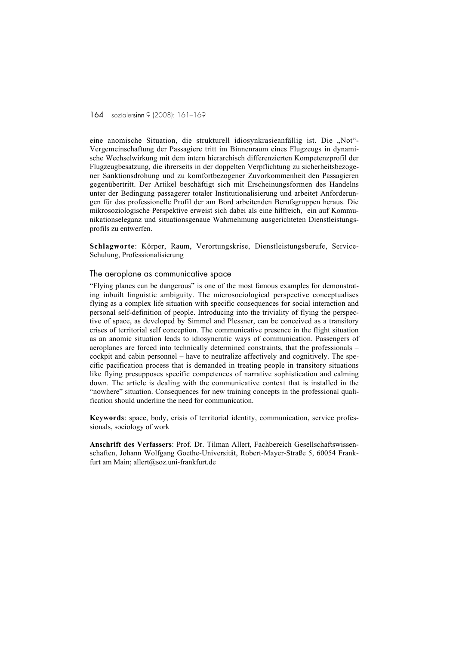eine anomische Situation, die strukturell idiosynkrasieanfällig ist. Die "Not"-Vergemeinschaftung der Passagiere tritt im Binnenraum eines Flugzeugs in dynamische Wechselwirkung mit dem intern hierarchisch differenzierten Kompetenzprofil der Flugzeugbesatzung, die ihrerseits in der doppelten Verpflichtung zu sicherheitsbezogener Sanktionsdrohung und zu komfortbezogener Zuvorkommenheit den Passagieren gegenübertritt. Der Artikel beschäftigt sich mit Erscheinungsformen des Handelns unter der Bedingung passagerer totaler Institutionalisierung und arbeitet Anforderungen für das professionelle Profil der am Bord arbeitenden Berufsgruppen heraus. Die mikrosoziologische Perspektive erweist sich dabei als eine hilfreich, ein auf Kommunikationseleganz und situationsgenaue Wahrnehmung ausgerichteten Dienstleistungsprofils zu entwerfen.

Schlagworte: Körper, Raum, Verortungskrise, Dienstleistungsberufe, Service-Schulung, Professionalisierung

#### The aeroplane as communicative space

"Flying planes can be dangerous" is one of the most famous examples for demonstrating inbuilt linguistic ambiguity. The microsociological perspective conceptualises flying as a complex life situation with specific consequences for social interaction and personal self-definition of people. Introducing into the triviality of flying the perspective of space, as developed by Simmel and Plessner, can be conceived as a transitory crises of territorial self conception. The communicative presence in the flight situation as an anomic situation leads to idiosyncratic ways of communication. Passengers of aeroplanes are forced into technically determined constraints, that the professionals – cockpit and cabin personnel – have to neutralize affectively and cognitively. The specific pacification process that is demanded in treating people in transitory situations like flying presupposes specific competences of narrative sophistication and calming down. The article is dealing with the communicative context that is installed in the "nowhere" situation. Consequences for new training concepts in the professional qualification should underline the need for communication.

Keywords: space, body, crisis of territorial identity, communication, service professionals, sociology of work

Anschrift des Verfassers: Prof. Dr. Tilman Allert, Fachbereich Gesellschaftswissenschaften, Johann Wolfgang Goethe-Universität, Robert-Mayer-Straße 5, 60054 Frankfurt am Main; allert@soz.uni-frankfurt.de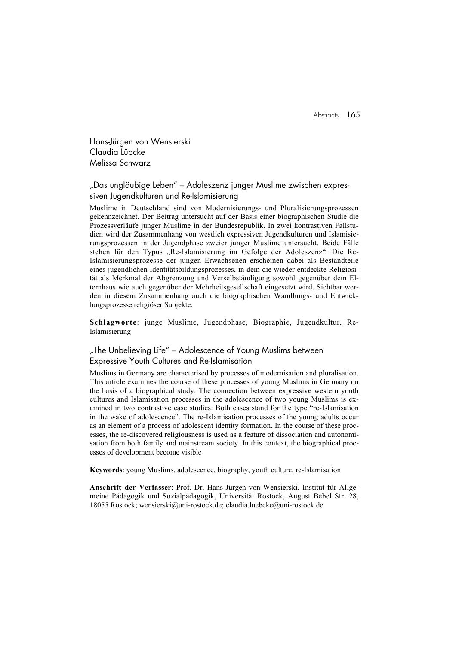Abstracts 165

Hans-Jürgen von Wensierski Claudia Lübcke Melissa Schwarz

"Das ungläubige Leben" – Adoleszenz junger Muslime zwischen expressiven Jugendkulturen und Re-Islamisierung

Muslime in Deutschland sind von Modernisierungs- und Pluralisierungsprozessen gekennzeichnet. Der Beitrag untersucht auf der Basis einer biographischen Studie die Prozessverläufe junger Muslime in der Bundesrepublik. In zwei kontrastiven Fallstudien wird der Zusammenhang von westlich expressiven Jugendkulturen und Islamisierungsprozessen in der Jugendphase zweier junger Muslime untersucht. Beide Fälle stehen für den Typus "Re-Islamisierung im Gefolge der Adoleszenz". Die Re-Islamisierungsprozesse der jungen Erwachsenen erscheinen dabei als Bestandteile eines jugendlichen Identitätsbildungsprozesses, in dem die wieder entdeckte Religiosität als Merkmal der Abgrenzung und Verselbständigung sowohl gegenüber dem Elternhaus wie auch gegenüber der Mehrheitsgesellschaft eingesetzt wird. Sichtbar werden in diesem Zusammenhang auch die biographischen Wandlungs- und Entwicklungsprozesse religiöser Subjekte.

Schlagworte: junge Muslime, Jugendphase, Biographie, Jugendkultur, Re-Islamisierung

"The Unbelieving Life" – Adolescence of Young Muslims between Expressive Youth Cultures and Re-Islamisation

Muslims in Germany are characterised by processes of modernisation and pluralisation. This article examines the course of these processes of young Muslims in Germany on the basis of a biographical study. The connection between expressive western youth cultures and Islamisation processes in the adolescence of two young Muslims is examined in two contrastive case studies. Both cases stand for the type "re-Islamisation in the wake of adolescence". The re-Islamisation processes of the young adults occur as an element of a process of adolescent identity formation. In the course of these processes, the re-discovered religiousness is used as a feature of dissociation and autonomisation from both family and mainstream society. In this context, the biographical processes of development become visible

Keywords: young Muslims, adolescence, biography, youth culture, re-Islamisation

Anschrift der Verfasser: Prof. Dr. Hans-Jürgen von Wensierski, Institut für Allgemeine Pädagogik und Sozialpädagogik, Universität Rostock, August Bebel Str. 28, 18055 Rostock; wensierski@uni-rostock.de; claudia.luebcke@uni-rostock.de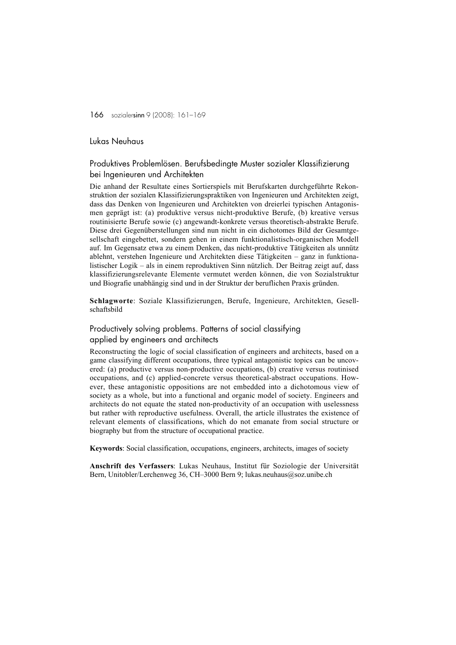## Lukas Neuhaus

## Produktives Problemlösen. Berufsbedingte Muster sozialer Klassifizierung bei Ingenieuren und Architekten

Die anhand der Resultate eines Sortierspiels mit Berufskarten durchgeführte Rekonstruktion der sozialen Klassifizierungspraktiken von Ingenieuren und Architekten zeigt, dass das Denken von Ingenieuren und Architekten von dreierlei typischen Antagonismen geprägt ist: (a) produktive versus nicht-produktive Berufe, (b) kreative versus routinisierte Berufe sowie (c) angewandt-konkrete versus theoretisch-abstrakte Berufe. Diese drei Gegenüberstellungen sind nun nicht in ein dichotomes Bild der Gesamtgesellschaft eingebettet, sondern gehen in einem funktionalistisch-organischen Modell auf. Im Gegensatz etwa zu einem Denken, das nicht-produktive Tätigkeiten als unnütz ablehnt, verstehen Ingenieure und Architekten diese Tätigkeiten – ganz in funktionalistischer Logik – als in einem reproduktiven Sinn nützlich. Der Beitrag zeigt auf, dass klassifizierungsrelevante Elemente vermutet werden können, die von Sozialstruktur und Biografie unabhängig sind und in der Struktur der beruflichen Praxis gründen.

Schlagworte: Soziale Klassifizierungen, Berufe, Ingenieure, Architekten, Gesellschaftsbild

## Productively solving problems. Patterns of social classifying applied by engineers and architects

Reconstructing the logic of social classification of engineers and architects, based on a game classifying different occupations, three typical antagonistic topics can be uncovered: (a) productive versus non-productive occupations, (b) creative versus routinised occupations, and (c) applied-concrete versus theoretical-abstract occupations. However, these antagonistic oppositions are not embedded into a dichotomous view of society as a whole, but into a functional and organic model of society. Engineers and architects do not equate the stated non-productivity of an occupation with uselessness but rather with reproductive usefulness. Overall, the article illustrates the existence of relevant elements of classifications, which do not emanate from social structure or biography but from the structure of occupational practice.

Keywords: Social classification, occupations, engineers, architects, images of society

Anschrift des Verfassers: Lukas Neuhaus, Institut für Soziologie der Universität Bern, Unitobler/Lerchenweg 36, CH–3000 Bern 9; lukas.neuhaus@soz.unibe.ch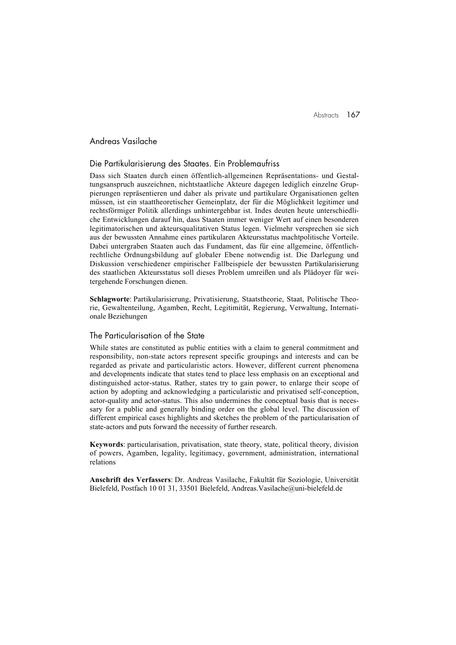## Andreas Vasilache

#### Die Partikularisierung des Staates. Ein Problemaufriss

Dass sich Staaten durch einen öffentlich-allgemeinen Repräsentations- und Gestaltungsanspruch auszeichnen, nichtstaatliche Akteure dagegen lediglich einzelne Gruppierungen repräsentieren und daher als private und partikulare Organisationen gelten müssen, ist ein staattheoretischer Gemeinplatz, der für die Möglichkeit legitimer und rechtsförmiger Politik allerdings unhintergehbar ist. Indes deuten heute unterschiedliche Entwicklungen darauf hin, dass Staaten immer weniger Wert auf einen besonderen legitimatorischen und akteursqualitativen Status legen. Vielmehr versprechen sie sich aus der bewussten Annahme eines partikularen Akteursstatus machtpolitische Vorteile. Dabei untergraben Staaten auch das Fundament, das für eine allgemeine, öffentlichrechtliche Ordnungsbildung auf globaler Ebene notwendig ist. Die Darlegung und Diskussion verschiedener empirischer Fallbeispiele der bewussten Partikularisierung des staatlichen Akteursstatus soll dieses Problem umreißen und als Plädoyer für weitergehende Forschungen dienen.

Schlagworte: Partikularisierung, Privatisierung, Staatstheorie, Staat, Politische Theorie, Gewaltenteilung, Agamben, Recht, Legitimität, Regierung, Verwaltung, Internationale Beziehungen

## The Particularisation of the State

While states are constituted as public entities with a claim to general commitment and responsibility, non-state actors represent specific groupings and interests and can be regarded as private and particularistic actors. However, different current phenomena and developments indicate that states tend to place less emphasis on an exceptional and distinguished actor-status. Rather, states try to gain power, to enlarge their scope of action by adopting and acknowledging a particularistic and privatised self-conception, actor-quality and actor-status. This also undermines the conceptual basis that is necessary for a public and generally binding order on the global level. The discussion of different empirical cases highlights and sketches the problem of the particularisation of state-actors and puts forward the necessity of further research.

Keywords: particularisation, privatisation, state theory, state, political theory, division of powers, Agamben, legality, legitimacy, government, administration, international relations

Anschrift des Verfassers: Dr. Andreas Vasilache, Fakultät für Soziologie, Universität Bielefeld, Postfach 10 01 31, 33501 Bielefeld, Andreas.Vasilache@uni-bielefeld.de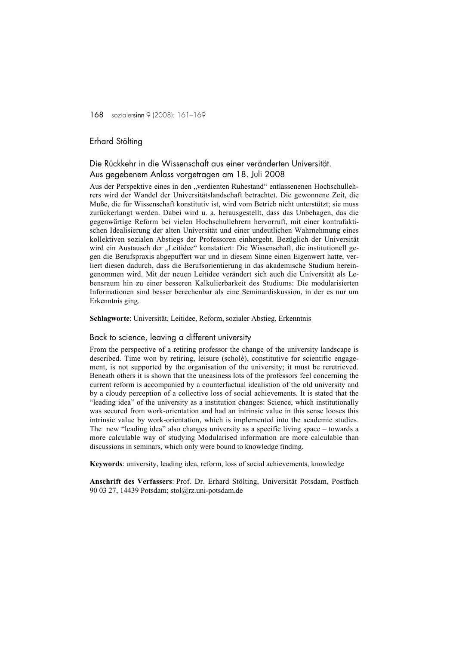#### Erhard Stölting

## Die Rückkehr in die Wissenschaft aus einer veränderten Universität. Aus gegebenem Anlass vorgetragen am 18. Juli 2008

Aus der Perspektive eines in den "verdienten Ruhestand" entlassenenen Hochschullehrers wird der Wandel der Universitätslandschaft betrachtet. Die gewonnene Zeit, die Muße, die für Wissenschaft konstitutiv ist, wird vom Betrieb nicht unterstützt; sie muss zurückerlangt werden. Dabei wird u. a. herausgestellt, dass das Unbehagen, das die gegenwärtige Reform bei vielen Hochschullehrern hervorruft, mit einer kontrafaktischen Idealisierung der alten Universität und einer undeutlichen Wahrnehmung eines kollektiven sozialen Abstiegs der Professoren einhergeht. Bezüglich der Universität wird ein Austausch der "Leitidee" konstatiert: Die Wissenschaft, die institutionell gegen die Berufspraxis abgepuffert war und in diesem Sinne einen Eigenwert hatte, verliert diesen dadurch, dass die Berufsorientierung in das akademische Studium hereingenommen wird. Mit der neuen Leitidee verändert sich auch die Universität als Lebensraum hin zu einer besseren Kalkulierbarkeit des Studiums: Die modularisierten Informationen sind besser berechenbar als eine Seminardiskussion, in der es nur um Erkenntnis ging.

Schlagworte: Universität, Leitidee, Reform, sozialer Abstieg, Erkenntnis

#### Back to science, leaving a different university

From the perspective of a retiring professor the change of the university landscape is described. Time won by retiring, leisure (scholè), constitutive for scientific engagement, is not supported by the organisation of the university; it must be reretrieved. Beneath others it is shown that the uneasiness lots of the professors feel concerning the current reform is accompanied by a counterfactual idealistion of the old university and by a cloudy perception of a collective loss of social achievements. It is stated that the "leading idea" of the university as a institution changes: Science, which institutionally was secured from work-orientation and had an intrinsic value in this sense looses this intrinsic value by work-orientation, which is implemented into the academic studies. The new "leading idea" also changes university as a specific living space – towards a more calculable way of studying Modularised information are more calculable than discussions in seminars, which only were bound to knowledge finding.

Keywords: university, leading idea, reform, loss of social achievements, knowledge

Anschrift des Verfassers: Prof. Dr. Erhard Stölting, Universität Potsdam, Postfach 90 03 27, 14439 Potsdam; stol@rz.uni-potsdam.de